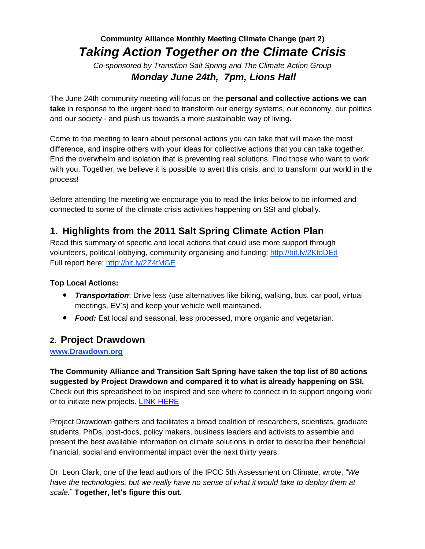## **Community Alliance Monthly Meeting Climate Change (part 2)** *Taking Action Together on the Climate Crisis*

*Co-sponsored by Transition Salt Spring and The Climate Action Group Monday June 24th, 7pm, Lions Hall*

The June 24th community meeting will focus on the **personal and collective actions we can take** in response to the urgent need to transform our energy systems, our economy, our politics and our society - and push us towards a more sustainable way of living.

Come to the meeting to learn about personal actions you can take that will make the most difference, and inspire others with your ideas for collective actions that you can take together. End the overwhelm and isolation that is preventing real solutions. Find those who want to work with you. Together, we believe it is possible to avert this crisis, and to transform our world in the process!

Before attending the meeting we encourage you to read the links below to be informed and connected to some of the climate crisis activities happening on SSI and globally.

# **1. Highlights from the 2011 Salt Spring Climate Action Plan**

Read this summary of specific and local actions that could use more support through volunteers, political lobbying, community organising and funding: <http://bit.ly/2KtoDEd> Full report here: <http://bit.ly/2Z4tMGE>

#### **Top Local Actions:**

- *Transportation*: Drive less (use alternatives like biking, walking, bus, car pool, virtual meetings, EV's) and keep your vehicle well maintained.
- *Food:* Eat local and seasonal, less processed, more organic and vegetarian.

#### **2. Project Drawdown**

**[www.Drawdown.org](http://www.drawdown.org/)** 

**The Community Alliance and Transition Salt Spring have taken the top list of 80 actions suggested by Project Drawdown and compared it to what is already happening on SSI.** Check out this spreadsheet to be inspired and see where to connect in to support ongoing work or to initiate new projects. LINK [HERE](https://drive.google.com/file/d/15zr1Z3g3FG56CZwTEQbQ71idULMnscjw/view?usp=sharing)

Project Drawdown gathers and facilitates a broad coalition of researchers, scientists, graduate students, PhDs, post-docs, policy makers, business leaders and activists to assemble and present the best available information on climate solutions in order to describe their beneficial financial, social and environmental impact over the next thirty years.

Dr. Leon Clark, one of the lead authors of the IPCC 5th Assessment on Climate, wrote, "*We have the technologies, but we really have no sense of what it would take to deploy them at scale.*" **Together, let's figure this out.**